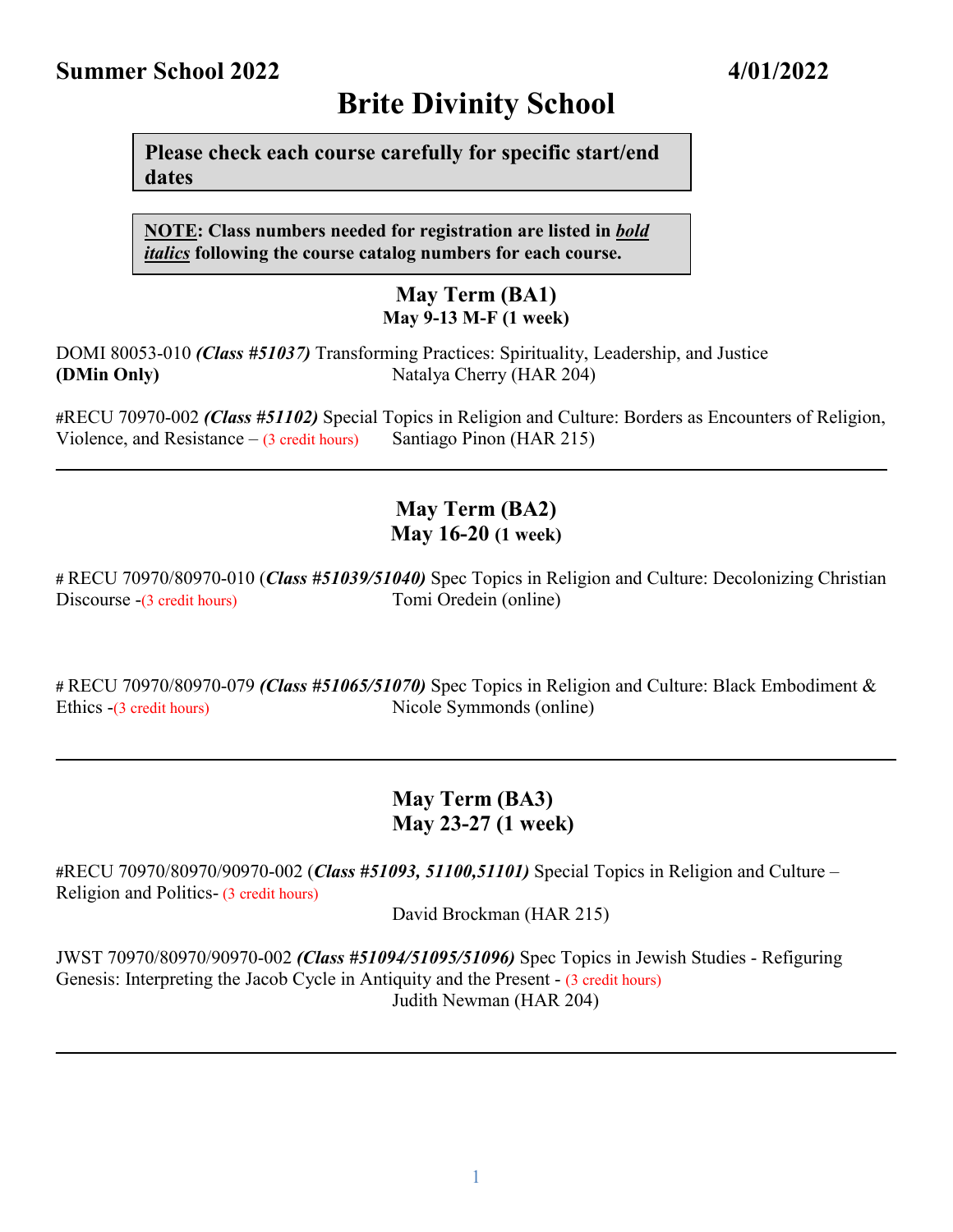# **Summer School 2022 4/01/2022**

**Please check each course carefully for specific start/end dates**

**NOTE: Class numbers needed for registration are listed in** *bold italics* **following the course catalog numbers for each course.**

#### **May Term (BA1) May 9-13 M-F (1 week)**

DOMI 80053-010 *(Class #51037)* Transforming Practices: Spirituality, Leadership, and Justice **(DMin Only)** Natalya Cherry (HAR 204)

**#**RECU 70970-002 *(Class #51102)* Special Topics in Religion and Culture: Borders as Encounters of Religion, Violence, and Resistance  $- (3 \text{ credit hours})$  Santiago Pinon (HAR 215)

**\_\_\_\_\_\_\_\_\_\_\_\_\_\_\_\_\_\_\_\_\_\_\_\_\_\_\_\_\_\_\_\_\_\_\_\_\_\_\_\_\_\_\_\_\_\_\_\_\_\_\_\_\_\_\_\_\_\_\_\_\_ \_\_\_\_\_\_\_\_\_\_\_\_\_\_\_\_\_**

## **May Term (BA2) May 16-20 (1 week)**

**#** RECU 70970/80970-010 (*Class #51039/51040)* Spec Topics in Religion and Culture: Decolonizing Christian Discourse -(3 credit hours) Tomi Oredein (online)

**#** RECU 70970/80970-079 *(Class #51065/51070)* Spec Topics in Religion and Culture: Black Embodiment & Ethics -(3 credit hours) Nicole Symmonds (online)

## **May Term (BA3) May 23-27 (1 week)**

**\_\_\_\_\_\_\_\_\_\_\_\_\_\_\_\_\_\_\_\_\_\_\_\_\_\_\_\_\_\_\_\_\_\_\_\_\_\_\_\_\_\_\_\_\_\_\_\_\_\_\_\_\_\_\_\_\_\_\_\_\_\_\_\_\_\_\_\_\_\_\_\_\_\_\_\_\_\_\_\_\_\_\_\_\_\_\_\_\_\_**

**#**RECU 70970/80970/90970-002 (*Class #51093, 51100,51101)* Special Topics in Religion and Culture – Religion and Politics- (3 credit hours)

David Brockman (HAR 215)

JWST 70970/80970/90970-002 *(Class #51094/51095/51096)* Spec Topics in Jewish Studies - Refiguring Genesis: Interpreting the Jacob Cycle in Antiquity and the Present - (3 credit hours) Judith Newman (HAR 204)

 $\mathcal{L}_\mathcal{L} = \mathcal{L}_\mathcal{L} = \mathcal{L}_\mathcal{L} = \mathcal{L}_\mathcal{L} = \mathcal{L}_\mathcal{L} = \mathcal{L}_\mathcal{L} = \mathcal{L}_\mathcal{L} = \mathcal{L}_\mathcal{L} = \mathcal{L}_\mathcal{L} = \mathcal{L}_\mathcal{L} = \mathcal{L}_\mathcal{L} = \mathcal{L}_\mathcal{L} = \mathcal{L}_\mathcal{L} = \mathcal{L}_\mathcal{L} = \mathcal{L}_\mathcal{L} = \mathcal{L}_\mathcal{L} = \mathcal{L}_\mathcal{L}$